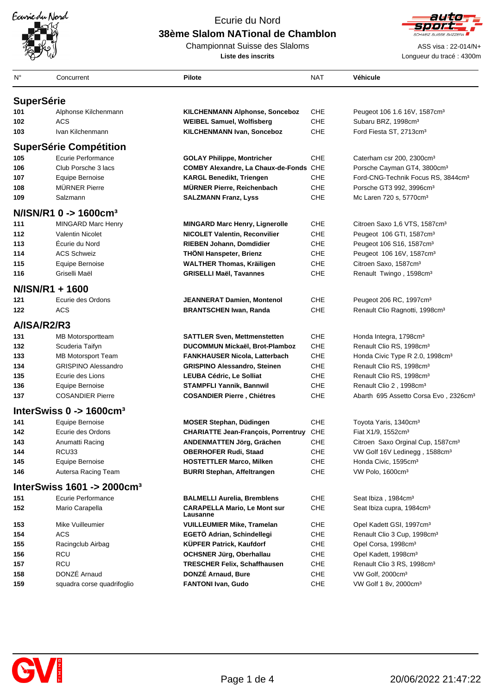Earriedu Nord



## Ecurie du Nord **38ème Slalom NATional de Chamblon**



Championnat Suisse des Slaloms ASS visa : 22-014/N+ Liste des inscrits **Liste des inscrits Longueur du tracé : 4300m** 

| $N^{\circ}$       | Concurrent                                      | <b>Pilote</b>                                   | <b>NAT</b> | Véhicule                                          |
|-------------------|-------------------------------------------------|-------------------------------------------------|------------|---------------------------------------------------|
| <b>SuperSérie</b> |                                                 |                                                 |            |                                                   |
| 101               | Alphonse Kilchenmann                            | <b>KILCHENMANN Alphonse, Sonceboz</b>           | <b>CHE</b> | Peugeot 106 1.6 16V, 1587cm <sup>3</sup>          |
| 102               | <b>ACS</b>                                      | <b>WEIBEL Samuel, Wolfisberg</b>                | <b>CHE</b> | Subaru BRZ, 1998cm <sup>3</sup>                   |
| 103               | Ivan Kilchenmann                                | <b>KILCHENMANN Ivan, Sonceboz</b>               | <b>CHE</b> | Ford Fiesta ST, 2713cm <sup>3</sup>               |
|                   | <b>SuperSérie Compétition</b>                   |                                                 |            |                                                   |
| 105               | Ecurie Performance                              | <b>GOLAY Philippe, Montricher</b>               | CHE        | Caterham csr 200, 2300cm <sup>3</sup>             |
| 106               | Club Porsche 3 lacs                             | <b>COMBY Alexandre, La Chaux-de-Fonds CHE</b>   |            | Porsche Cayman GT4, 3800cm <sup>3</sup>           |
| 107               | Equipe Bernoise                                 | <b>KARGL Benedikt, Triengen</b>                 | CHE        | Ford-CNG-Technik Focus RS, 3844cm <sup>3</sup>    |
| 108               | <b>MÜRNER Pierre</b>                            | <b>MÜRNER Pierre, Reichenbach</b>               | CHE        | Porsche GT3 992, 3996cm <sup>3</sup>              |
| 109               | Salzmann                                        | <b>SALZMANN Franz, Lyss</b>                     | CHE        | Mc Laren 720 s, 5770cm <sup>3</sup>               |
|                   | $N/ISN/R1$ 0 -> 1600cm <sup>3</sup>             |                                                 |            |                                                   |
| 111               | MINGARD Marc Henry                              | <b>MINGARD Marc Henry, Lignerolle</b>           | CHE        | Citroen Saxo 1,6 VTS, 1587cm <sup>3</sup>         |
| 112               | <b>Valentin Nicolet</b>                         | <b>NICOLET Valentin, Reconvilier</b>            | CHE        | Peugeot 106 GTI, 1587cm <sup>3</sup>              |
| 113               | Écurie du Nord                                  | <b>RIEBEN Johann, Domdidier</b>                 | CHE        | Peugeot 106 S16, 1587cm <sup>3</sup>              |
| 114               | <b>ACS Schweiz</b>                              | <b>THÖNI Hanspeter, Brienz</b>                  | CHE        | Peugeot 106 16V, 1587cm <sup>3</sup>              |
| 115               | Equipe Bernoise                                 | <b>WALTHER Thomas, Kräiligen</b>                | CHE        | Citroen Saxo, 1587cm <sup>3</sup>                 |
| 116               | Griselli Maël                                   | <b>GRISELLI Maël, Tavannes</b>                  | CHE        | Renault Twingo, 1598cm <sup>3</sup>               |
|                   | N/ISN/R1 + 1600                                 |                                                 |            |                                                   |
| 121               | Ecurie des Ordons                               | <b>JEANNERAT Damien, Montenol</b>               | <b>CHE</b> | Peugeot 206 RC, 1997cm <sup>3</sup>               |
| 122               | ACS                                             | <b>BRANTSCHEN Iwan, Randa</b>                   | <b>CHE</b> | Renault Clio Ragnotti, 1998cm <sup>3</sup>        |
|                   | A/ISA/R2/R3                                     |                                                 |            |                                                   |
| 131               | <b>MB Motorsportteam</b>                        | <b>SATTLER Sven, Mettmenstetten</b>             | CHE        | Honda Integra, 1798cm <sup>3</sup>                |
| 132               | Scuderia Taifyn                                 | DUCOMMUN Mickaël, Brot-Plamboz                  | CHE        | Renault Clio RS, 1998cm <sup>3</sup>              |
| 133               | <b>MB Motorsport Team</b>                       | <b>FANKHAUSER Nicola, Latterbach</b>            | CHE        | Honda Civic Type R 2.0, 1998cm <sup>3</sup>       |
| 134               | <b>GRISPINO Alessandro</b>                      | <b>GRISPINO Alessandro, Steinen</b>             | CHE        | Renault Clio RS, 1998cm <sup>3</sup>              |
| 135               | Ecurie des Lions                                | <b>LEUBA Cédric, Le Solliat</b>                 | CHE        | Renault Clio RS, 1998cm <sup>3</sup>              |
| 136               | Equipe Bernoise                                 | <b>STAMPFLI Yannik, Bannwil</b>                 | CHE        | Renault Clio 2, 1998cm <sup>3</sup>               |
| 137               | <b>COSANDIER Pierre</b>                         | <b>COSANDIER Pierre, Chiétres</b>               | CHE        | Abarth 695 Assetto Corsa Evo, 2326cm <sup>3</sup> |
|                   | InterSwiss $0 \rightarrow 1600$ cm <sup>3</sup> |                                                 |            |                                                   |
| 141               | Equipe Bernoise                                 | <b>MOSER Stephan, Düdingen</b>                  | CHE        | Toyota Yaris, 1340cm <sup>3</sup>                 |
| 142               | Ecurie des Ordons                               | CHARIATTE Jean-François, Porrentruy CHE         |            | Fiat X1/9, 1552cm <sup>3</sup>                    |
| 143               | Anumatti Racing                                 | ANDENMATTEN Jörg, Grächen                       | CHE        | Citroen Saxo Orginal Cup, 1587cm <sup>3</sup>     |
| 144               | RCU33                                           | <b>OBERHOFER Rudi, Staad</b>                    | <b>CHE</b> | VW Golf 16V Ledinegg, 1588cm <sup>3</sup>         |
| 145               | Equipe Bernoise                                 | <b>HOSTETTLER Marco, Milken</b>                 | <b>CHE</b> | Honda Civic, 1595cm <sup>3</sup>                  |
| 146               | Autersa Racing Team                             | <b>BURRI Stephan, Affeltrangen</b>              | <b>CHE</b> | VW Polo, 1600cm <sup>3</sup>                      |
|                   | InterSwiss $1601 \div 2000$ cm <sup>3</sup>     |                                                 |            |                                                   |
| 151               | Ecurie Performance                              | <b>BALMELLI Aurelia, Bremblens</b>              | <b>CHE</b> | Seat Ibiza, 1984cm <sup>3</sup>                   |
| 152               | Mario Carapella                                 | <b>CARAPELLA Mario, Le Mont sur</b><br>Lausanne | <b>CHE</b> | Seat Ibiza cupra, 1984cm <sup>3</sup>             |
| 153               | Mike Vuilleumier                                | <b>VUILLEUMIER Mike, Tramelan</b>               | <b>CHE</b> | Opel Kadett GSI, 1997cm <sup>3</sup>              |
| 154               | ACS                                             | EGETÖ Adrian, Schindellegi                      | CHE        | Renault Clio 3 Cup, 1998cm <sup>3</sup>           |
| 155               | Racingclub Airbag                               | <b>KÜPFER Patrick, Kaufdorf</b>                 | <b>CHE</b> | Opel Corsa, 1998cm <sup>3</sup>                   |
| 156               | RCU                                             | OCHSNER Jürg, Oberhallau                        | CHE        | Opel Kadett, 1998cm <sup>3</sup>                  |
| 157               | RCU                                             | <b>TRESCHER Felix, Schaffhausen</b>             | CHE        | Renault Clio 3 RS, 1998cm <sup>3</sup>            |
| 158               | DONZÉ Arnaud                                    | DONZÉ Arnaud, Bure                              | CHE        | VW Golf, 2000cm <sup>3</sup>                      |

squadra corse quadrifoglio **FANTONI Ivan, Gudo** CHE VW Golf 1 8v, 2000cm³

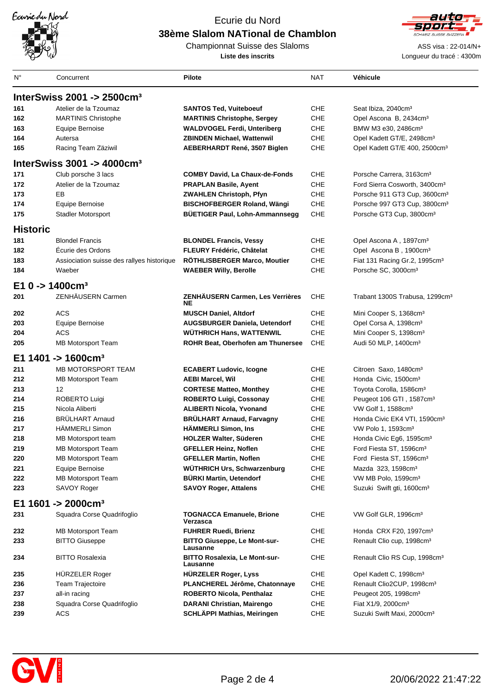Earriedu Nord



## Ecurie du Nord **38ème Slalom NATional de Chamblon**

Championnat Suisse des Slaloms ASS visa : 22-014/N+ Liste des inscrits **Liste des inscrits Longueur du tracé : 4300m** 



| $N^{\circ}$     | Concurrent                                  | <b>Pilote</b>                                   | <b>NAT</b> | Véhicule                                   |
|-----------------|---------------------------------------------|-------------------------------------------------|------------|--------------------------------------------|
|                 | InterSwiss 2001 -> $2500$ cm <sup>3</sup>   |                                                 |            |                                            |
| 161             | Atelier de la Tzoumaz                       | <b>SANTOS Ted, Vuiteboeuf</b>                   | CHE        | Seat Ibiza, 2040cm <sup>3</sup>            |
| 162             | <b>MARTINIS Christophe</b>                  | <b>MARTINIS Christophe, Sergey</b>              | CHE        | Opel Ascona B, 2434cm <sup>3</sup>         |
| 163             | Equipe Bernoise                             | <b>WALDVOGEL Ferdi, Unteriberg</b>              | CHE        | BMW M3 e30, 2486cm <sup>3</sup>            |
| 164             | Autersa                                     | <b>ZBINDEN Michael, Wattenwil</b>               | CHE        | Opel Kadett GT/E, 2498cm <sup>3</sup>      |
| 165             | Racing Team Zäziwil                         | AEBERHARDT René, 3507 Biglen                    | CHE        | Opel Kadett GT/E 400, 2500cm <sup>3</sup>  |
|                 | InterSwiss $3001 \div 4000$ cm <sup>3</sup> |                                                 |            |                                            |
| 171             | Club porsche 3 lacs                         | <b>COMBY David, La Chaux-de-Fonds</b>           | CHE        | Porsche Carrera, 3163cm <sup>3</sup>       |
| 172             | Atelier de la Tzoumaz                       | <b>PRAPLAN Basile, Ayent</b>                    | CHE        | Ford Sierra Cosworth, 3400cm <sup>3</sup>  |
| 173             | EB                                          | <b>ZWAHLEN Christoph, Pfyn</b>                  | CHE        | Porsche 911 GT3 Cup, 3600cm <sup>3</sup>   |
| 174             | Equipe Bernoise                             | <b>BISCHOFBERGER Roland, Wängi</b>              | CHE        | Porsche 997 GT3 Cup, 3800cm <sup>3</sup>   |
| 175             | Stadler Motorsport                          | <b>BÜETIGER Paul, Lohn-Ammannsegg</b>           | CHE        | Porsche GT3 Cup, 3800cm <sup>3</sup>       |
| <b>Historic</b> |                                             |                                                 |            |                                            |
| 181             | <b>Blondel Francis</b>                      | <b>BLONDEL Francis, Vessy</b>                   | CHE        | Opel Ascona A, 1897cm <sup>3</sup>         |
| 182             | Ecurie des Ordons                           | FLEURY Frédéric, Châtelat                       | CHE        | Opel Ascona B, 1900cm <sup>3</sup>         |
| 183             | Assiociation suisse des rallyes historique  | RÖTHLISBERGER Marco, Moutier                    | CHE        | Fiat 131 Racing Gr.2, 1995cm <sup>3</sup>  |
| 184             | Waeber                                      | <b>WAEBER Willy, Berolle</b>                    | CHE        | Porsche SC, 3000cm <sup>3</sup>            |
|                 |                                             |                                                 |            |                                            |
|                 | $E10 - 1400$ cm <sup>3</sup>                |                                                 |            |                                            |
| 201             | ZENHÄUSERN Carmen                           | ZENHÄUSERN Carmen, Les Verrières<br>NE          | CHE        | Trabant 1300S Trabusa, 1299cm <sup>3</sup> |
| 202             | <b>ACS</b>                                  | <b>MUSCH Daniel, Altdorf</b>                    | CHE        | Mini Cooper S, 1368cm <sup>3</sup>         |
| 203             | Equipe Bernoise                             | <b>AUGSBURGER Daniela, Uetendorf</b>            | CHE        | Opel Corsa A, 1398cm <sup>3</sup>          |
| 204             | <b>ACS</b>                                  | WÜTHRICH Hans, WATTENWIL                        | CHE        | Mini Cooper S, 1398cm <sup>3</sup>         |
| 205             | <b>MB Motorsport Team</b>                   | ROHR Beat, Oberhofen am Thunersee               | CHE        | Audi 50 MLP, 1400cm <sup>3</sup>           |
|                 | E1 1401 -> 1600cm <sup>3</sup>              |                                                 |            |                                            |
| 211             | MB MOTORSPORT TEAM                          | <b>ECABERT Ludovic, Icogne</b>                  | CHE        | Citroen Saxo, 1480cm <sup>3</sup>          |
| 212             | <b>MB Motorsport Team</b>                   | <b>AEBI Marcel, Wil</b>                         | CHE        | Honda Civic, 1500cm <sup>3</sup>           |
| 213             | 12                                          | <b>CORTESE Matteo, Monthey</b>                  | CHE        | Toyota Corolla, 1586cm <sup>3</sup>        |
| 214             | ROBERTO Luigi                               | <b>ROBERTO Luigi, Cossonay</b>                  | CHE        | Peugeot 106 GTI, 1587cm <sup>3</sup>       |
| 215             | Nicola Aliberti                             | <b>ALIBERTI Nicola, Yvonand</b>                 | CHE        | VW Golf 1, 1588cm <sup>3</sup>             |
| 216             | <b>BRÜLHART Arnaud</b>                      | <b>BRÜLHART Arnaud, Farvagny</b>                | CHE        | Honda Civic EK4 VTI, 1590cm <sup>3</sup>   |
| 217             | <b>HÄMMERLI Simon</b>                       | <b>HÄMMERLI Simon, Ins</b>                      | CHE        | VW Polo 1, 1593cm <sup>3</sup>             |
| 218             | MB Motorsport team                          | HOLZER Walter, Süderen                          | CHE        | Honda Civic Eg6, 1595cm <sup>3</sup>       |
| 219             | MB Motorsport Team                          | <b>GFELLER Heinz, Noflen</b>                    | CHE        | Ford Fiesta ST, 1596cm <sup>3</sup>        |
| 220             | <b>MB Motorsport Team</b>                   | <b>GFELLER Martin, Noflen</b>                   | <b>CHE</b> | Ford Fiesta ST, 1596cm <sup>3</sup>        |
| 221             | Equipe Bernoise                             | <b>WÜTHRICH Urs, Schwarzenburg</b>              | <b>CHE</b> | Mazda 323, 1598cm <sup>3</sup>             |
| 222             | <b>MB Motorsport Team</b>                   | <b>BÜRKI Martin, Uetendorf</b>                  | <b>CHE</b> | VW MB Polo, 1599cm <sup>3</sup>            |
| 223             | SAVOY Roger                                 | <b>SAVOY Roger, Attalens</b>                    | <b>CHE</b> | Suzuki Swift gti, 1600cm <sup>3</sup>      |
|                 | E1 1601 -> 2000cm <sup>3</sup>              |                                                 |            |                                            |
| 231             | Squadra Corse Quadrifoglio                  | <b>TOGNACCA Emanuele, Brione</b><br>Verzasca    | CHE        | VW Golf GLR, 1996cm <sup>3</sup>           |
| 232             | <b>MB Motorsport Team</b>                   | <b>FUHRER Ruedi, Brienz</b>                     | <b>CHE</b> | Honda CRX F20, 1997cm <sup>3</sup>         |
| 233             | <b>BITTO Giuseppe</b>                       | <b>BITTO Giuseppe, Le Mont-sur-</b><br>Lausanne | <b>CHE</b> | Renault Clio cup, 1998cm <sup>3</sup>      |
| 234             | <b>BITTO Rosalexia</b>                      | BITTO Rosalexia, Le Mont-sur-<br>Lausanne       | <b>CHE</b> | Renault Clio RS Cup, 1998cm <sup>3</sup>   |
| 235             | HÜRZELER Roger                              | HÜRZELER Roger, Lyss                            | <b>CHE</b> | Opel Kadett C, 1998cm <sup>3</sup>         |
| 236             | <b>Team Trajectoire</b>                     | PLANCHEREL Jérôme, Chatonnaye                   | <b>CHE</b> | Renault Clio2CUP, 1998cm <sup>3</sup>      |
| 237             | all-in racing                               | <b>ROBERTO Nicola, Penthalaz</b>                | <b>CHE</b> | Peugeot 205, 1998cm <sup>3</sup>           |
| 238             | Squadra Corse Quadrifoglio                  | DARANI Christian, Mairengo                      | <b>CHE</b> | Fiat X1/9, 2000cm <sup>3</sup>             |
| 239             | <b>ACS</b>                                  | SCHLÄPPI Mathias, Meiringen                     | <b>CHE</b> | Suzuki Swift Maxi, 2000cm <sup>3</sup>     |

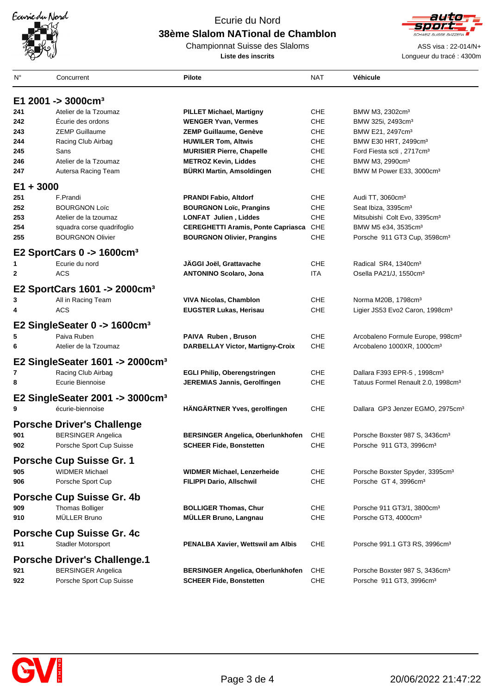

## Ecurie du Nord **38ème Slalom NATional de Chamblon**





Liste des inscrits **Liste des inscrits Longueur du tracé : 4300m** 

| N°          | Concurrent                                            | <b>Pilote</b>                            | <b>NAT</b> | Véhicule                                       |
|-------------|-------------------------------------------------------|------------------------------------------|------------|------------------------------------------------|
|             | E1 2001 -> 3000cm <sup>3</sup>                        |                                          |            |                                                |
| 241         | Atelier de la Tzoumaz                                 | <b>PILLET Michael, Martigny</b>          | CHE        | BMW M3, 2302cm <sup>3</sup>                    |
| 242         | Ecurie des ordons                                     | <b>WENGER Yvan, Vermes</b>               | <b>CHE</b> | BMW 325i, 2493cm <sup>3</sup>                  |
| 243         | <b>ZEMP Guillaume</b>                                 | <b>ZEMP Guillaume, Genève</b>            | <b>CHE</b> | BMW E21, 2497cm <sup>3</sup>                   |
| 244         | Racing Club Airbag                                    | <b>HUWILER Tom, Altwis</b>               | <b>CHE</b> | BMW E30 HRT, 2499cm <sup>3</sup>               |
| 245         | Sans                                                  | <b>MURISIER Pierre, Chapelle</b>         | <b>CHE</b> | Ford Fiesta scti, 2717cm <sup>3</sup>          |
| 246         | Atelier de la Tzoumaz                                 | <b>METROZ Kevin, Liddes</b>              | <b>CHE</b> | BMW M3, 2990cm <sup>3</sup>                    |
| 247         | Autersa Racing Team                                   | <b>BÜRKI Martin, Amsoldingen</b>         | <b>CHE</b> | BMW M Power E33, 3000cm <sup>3</sup>           |
| $E1 + 3000$ |                                                       |                                          |            |                                                |
| 251         | F.Prandi                                              | <b>PRANDI Fabio, Altdorf</b>             | CHE        | Audi TT, 3060cm <sup>3</sup>                   |
| 252         | <b>BOURGNON Loïc</b>                                  | <b>BOURGNON Loïc, Prangins</b>           | CHE        | Seat Ibiza, 3395cm <sup>3</sup>                |
| 253         | Atelier de la tzoumaz                                 | <b>LONFAT Julien, Liddes</b>             | CHE        | Mitsubishi Colt Evo, 3395cm <sup>3</sup>       |
| 254         | squadra corse quadrifoglio                            | CEREGHETTI Aramis, Ponte Capriasca CHE   |            | BMW M5 e34, 3535cm <sup>3</sup>                |
| 255         | <b>BOURGNON Olivier</b>                               | <b>BOURGNON Olivier, Prangins</b>        | CHE        | Porsche 911 GT3 Cup, 3598cm <sup>3</sup>       |
|             | E2 SportCars $0 \rightarrow 1600$ cm <sup>3</sup>     |                                          |            |                                                |
| 1           | Ecurie du nord                                        | JÄGGI Joël, Grattavache                  | CHE        | Radical SR4, 1340cm <sup>3</sup>               |
| 2           | ACS                                                   | <b>ANTONINO Scolaro, Jona</b>            | <b>ITA</b> | Osella PA21/J, 1550cm <sup>3</sup>             |
|             | E2 SportCars $1601 \rightarrow 2000$ cm <sup>3</sup>  |                                          |            |                                                |
| 3           | All in Racing Team                                    | <b>VIVA Nicolas, Chamblon</b>            | CHE        | Norma M20B, 1798cm <sup>3</sup>                |
| 4           | <b>ACS</b>                                            | <b>EUGSTER Lukas, Herisau</b>            | <b>CHE</b> | Ligier JS53 Evo2 Caron, 1998cm <sup>3</sup>    |
|             |                                                       |                                          |            |                                                |
|             | E2 Single Seater $0 \rightarrow 1600$ cm <sup>3</sup> |                                          |            |                                                |
| 5           | Paiva Ruben                                           | PAIVA Ruben, Bruson                      | CHE        | Arcobaleno Formule Europe, 998cm <sup>3</sup>  |
| 6           | Atelier de la Tzoumaz                                 | <b>DARBELLAY Victor, Martigny-Croix</b>  | CHE        | Arcobaleno 1000XR, 1000cm <sup>3</sup>         |
|             | E2 Single Seater $1601 -> 2000$ cm <sup>3</sup>       |                                          |            |                                                |
| 7           | Racing Club Airbag                                    | <b>EGLI Philip, Oberengstringen</b>      | CHE        | Dallara F393 EPR-5, 1998cm <sup>3</sup>        |
| 8           | Ecurie Biennoise                                      | JEREMIAS Jannis, Gerolfingen             | CHE        | Tatuus Formel Renault 2.0, 1998cm <sup>3</sup> |
|             | E2 Single Seater 2001 -> 3000 $cm3$                   |                                          |            |                                                |
| 9           | écurie-biennoise                                      | HÄNGÄRTNER Yves, gerolfingen             | <b>CHE</b> | Dallara GP3 Jenzer EGMO, 2975cm <sup>3</sup>   |
|             |                                                       |                                          |            |                                                |
|             | <b>Porsche Driver's Challenge</b>                     |                                          |            |                                                |
| 901         | <b>BERSINGER Angelica</b>                             | <b>BERSINGER Angelica, Oberlunkhofen</b> | CHE        | Porsche Boxster 987 S, 3436cm <sup>3</sup>     |
| 902         | Porsche Sport Cup Suisse                              | <b>SCHEER Fide, Bonstetten</b>           | CHE        | Porsche 911 GT3, 3996cm <sup>3</sup>           |
|             | <b>Porsche Cup Suisse Gr. 1</b>                       |                                          |            |                                                |
| 905         | <b>WIDMER Michael</b>                                 | <b>WIDMER Michael, Lenzerheide</b>       | <b>CHE</b> | Porsche Boxster Spyder, 3395cm <sup>3</sup>    |
| 906         | Porsche Sport Cup                                     | <b>FILIPPI Dario, Allschwil</b>          | CHE        | Porsche GT 4, 3996cm <sup>3</sup>              |
|             |                                                       |                                          |            |                                                |
|             | <b>Porsche Cup Suisse Gr. 4b</b>                      |                                          |            |                                                |
| 909         | <b>Thomas Bolliger</b>                                | <b>BOLLIGER Thomas, Chur</b>             | <b>CHE</b> | Porsche 911 GT3/1, 3800cm <sup>3</sup>         |
| 910         | MÜLLER Bruno                                          | MÜLLER Bruno, Langnau                    | <b>CHE</b> | Porsche GT3, 4000cm <sup>3</sup>               |
|             | <b>Porsche Cup Suisse Gr. 4c</b>                      |                                          |            |                                                |
| 911         | <b>Stadler Motorsport</b>                             | PENALBA Xavier, Wettswil am Albis        | CHE        | Porsche 991.1 GT3 RS, 3996cm <sup>3</sup>      |
|             |                                                       |                                          |            |                                                |
|             | <b>Porsche Driver's Challenge.1</b>                   |                                          |            |                                                |
| 921         | <b>BERSINGER Angelica</b>                             | <b>BERSINGER Angelica, Oberlunkhofen</b> | CHE        | Porsche Boxster 987 S, 3436cm <sup>3</sup>     |
| 922         | Porsche Sport Cup Suisse                              | <b>SCHEER Fide, Bonstetten</b>           | CHE        | Porsche 911 GT3, 3996cm <sup>3</sup>           |